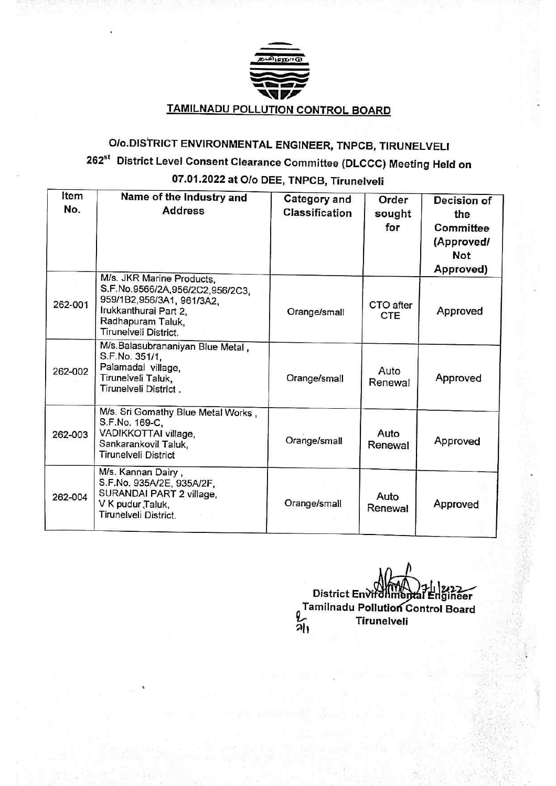

### Olo.DISTRICT ENVIRONMENTAL ENGINEER, TNPCB, TIRUNELVEL 262<sup>st</sup> District Level Consent Clearance Committee (DLCCC) Meeting Held on 07.01.2022 at Olo DEE, TNPCB, Tirunelveli

| Item<br>No. | Name of the Industry and<br><b>Address</b>                                                                                                                       | <b>Category and</b><br>Classification | Order<br>sought<br>for  | Decision of<br>the<br>Committee<br>(Approved/<br><b>Not</b><br>Approved) |
|-------------|------------------------------------------------------------------------------------------------------------------------------------------------------------------|---------------------------------------|-------------------------|--------------------------------------------------------------------------|
| 262-001     | M/s. JKR Marine Products,<br>S.F.No.9566/2A,956/2C2,956/2C3,<br>959/1B2,956/3A1, 961/3A2,<br>Irukkanthurai Part 2,<br>Radhapuram Taluk,<br>Tirunelveli District. | Orange/small                          | CTO after<br><b>CTE</b> | Approved                                                                 |
| 262-002     | M/s.Balasubrananiyan Blue Metal,<br>S.F.No. 351/1,<br>Palamadai village,<br>Tirunelveli Taluk,<br>Tirunelveli District.                                          | Orange/small                          | Auto<br>Renewal         | Approved                                                                 |
| 262-003     | M/s. Sri Gomathy Blue Metal Works,<br>S.F.No. 169-C,<br>VADIKKOTTAI village,<br>Sankarankovil Taluk,<br>Tirunelveli District                                     | Orange/small                          | Auto<br>Renewal         | Approved                                                                 |
| 262-004     | M/s. Kannan Dairy,<br>S.F.No. 935A/2E, 935A/2F,<br>SURANDAI PART 2 village,<br>V K pudur Taluk,<br>Tirunelveli District.                                         | Orange/small                          | Auto<br>Renewal         | Approved                                                                 |

District Environmental Engineer Tamilnadu Pollution Control Board<br>21 Tirunelveli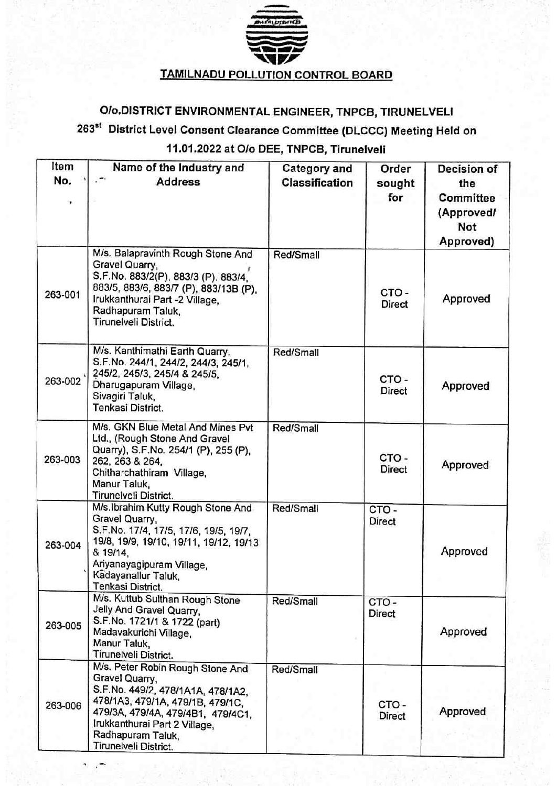

## Olo.DISTRICT ENVIRONMENTAL ENGINEER, TNPCB, TIRUNELVEL

## 263<sup>st</sup> District Level Consent Clearance Committee (DLCCC) Meeting Held on 11.01.2022 at Olo DEE, TNPCB, Tirunelveli

| Item    | Name of the Industry and                                                                                                                                                                                                                        | <b>Category and</b> | Order                    | Decision of                                 |
|---------|-------------------------------------------------------------------------------------------------------------------------------------------------------------------------------------------------------------------------------------------------|---------------------|--------------------------|---------------------------------------------|
| No.     | <b>Address</b>                                                                                                                                                                                                                                  | Classification      | sought                   | the                                         |
|         |                                                                                                                                                                                                                                                 |                     | for                      | Committee<br>(Approved/<br>Not<br>Approved) |
| 263-001 | M/s. Balapravinth Rough Stone And<br>Gravel Quarry,<br>S.F.No. 883/2(P), 883/3 (P). 883/4,<br>883/5, 883/6, 883/7 (P), 883/13B (P),<br>Irukkanthurai Part -2 Village,<br>Radhapuram Taluk,<br>Tirunelveli District.                             | Red/Small           | CTO-<br><b>Direct</b>    | Approved                                    |
| 263-002 | M/s. Kanthimathi Earth Quarry,<br>S.F.No. 244/1, 244/2, 244/3, 245/1,<br>245/2, 245/3, 245/4 & 245/5,<br>Dharugapuram Village,<br>Sivagiri Taluk,<br>Tenkasi District.                                                                          | Red/Small           | CTO-<br>Direct           | Approved                                    |
| 263-003 | M/s. GKN Blue Metal And Mines Pvt<br>Ltd., (Rough Stone And Gravel<br>Quarry), S.F.No. 254/1 (P), 255 (P),<br>262, 263 & 264,<br>Chitharchathiram Village,<br>Manur Taluk,<br>Tirunelveli District.                                             | Red/Small           | CTO-<br><b>Direct</b>    | Approved                                    |
| 263-004 | M/s.Ibrahim Kutty Rough Stone And<br>Gravel Quarry,<br>S.F.No. 17/4, 17/5, 17/6, 19/5, 19/7,<br>19/8, 19/9, 19/10, 19/11, 19/12, 19/13<br>& 19/14,<br>Ariyanayagipuram Village,<br>Kadayanallur Taluk,<br>Tenkasi District.                     | Red/Small           | $CTO -$<br><b>Direct</b> | Approved                                    |
| 263-005 | M/s. Kuttub Sulthan Rough Stone<br>Jelly And Gravel Quarry,<br>S.F.No. 1721/1 & 1722 (part)<br>Madavakurichi Village,<br>Manur Taluk,<br>Tirunelveli District.                                                                                  | Red/Small           | CTO-<br>Direct           | Approved                                    |
| 263-006 | M/s. Peter Robin Rough Stone And<br>Gravel Quarry,<br>S.F.No. 449/2, 478/1A1A, 478/1A2,<br>478/1A3, 479/1A, 479/1B, 479/1C,<br>479/3A, 479/4A, 479/4B1, 479/4C1,<br>Irukkanthurai Part 2 Village,<br>Radhapuram Taluk,<br>Tirunelveli District. | Red/Small           | CTO-<br>Direct           | Approved                                    |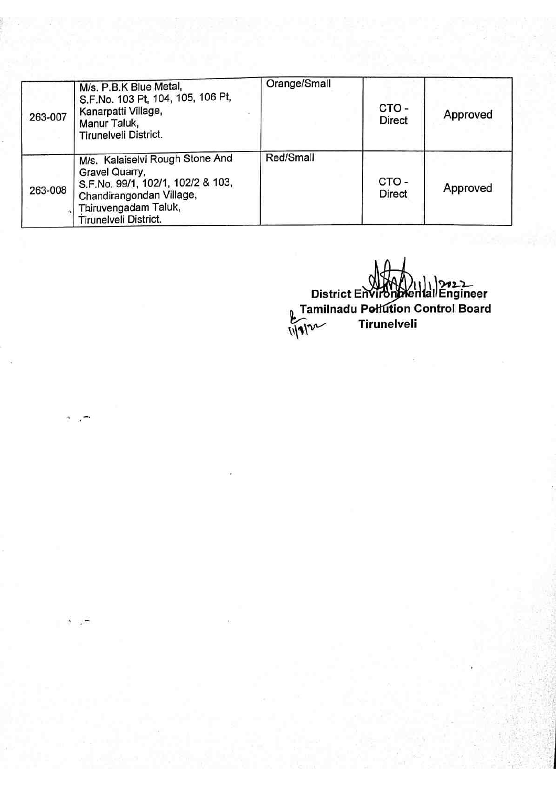| 263-007 | M/s. P.B.K Blue Metal,<br>S.F.No. 103 Pt, 104, 105, 106 Pt,<br>Kanarpatti Village,<br>Manur Taluk,<br>Tirunelveli District.                                         | Orange/Small | CTO-<br><b>Direct</b> | Approved |
|---------|---------------------------------------------------------------------------------------------------------------------------------------------------------------------|--------------|-----------------------|----------|
| 263-008 | M/s. Kalaiselvi Rough Stone And<br>Gravel Quarry,<br>S.F.No. 99/1, 102/1, 102/2 & 103,<br>Chandirangondan Village,<br>Thiruvengadam Taluk,<br>Tirunelveli District. | Red/Small    | CTO-<br><b>Direct</b> | Approved |

22<br>District Environmental Engine <sub>0</sub> Tamilnadu Pełfution Control Board Tirunelveli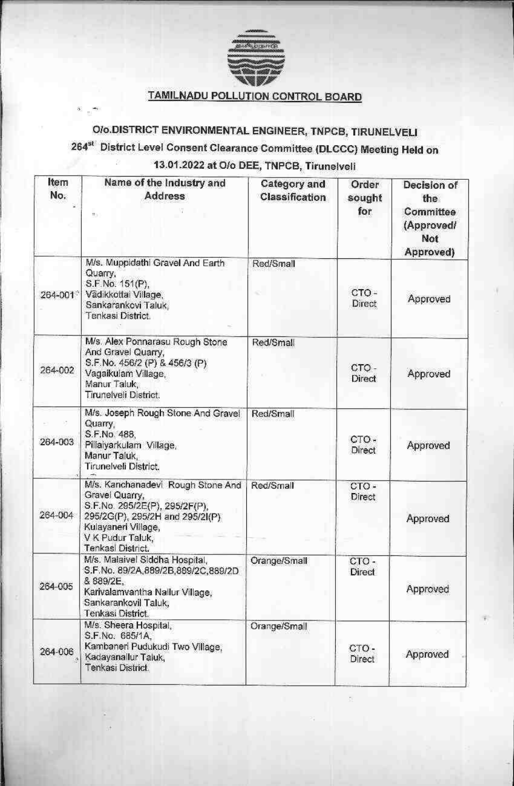

### **TAMILNADU POLLUTION CONTROL BOARD**

# O/o.DISTRICT ENVIRONMENTAL ENGINEER, TNPCB, TIRUNELVELI 264<sup>st</sup> District Level Consent Clearance Committee (DLCCC) Meeting Held on 13.01.2022 at O/o DEE, TNPCB, Tirunelveli

| Item<br>No. | Name of the Industry and<br>Address<br>tt                                                                                                                                               | Category and<br>Classification | Order<br>sought<br>for | Decision of<br>the<br>Committee<br>(Approved/<br>Not<br>Approved) |
|-------------|-----------------------------------------------------------------------------------------------------------------------------------------------------------------------------------------|--------------------------------|------------------------|-------------------------------------------------------------------|
| 264-001     | M/s. Muppidathi Gravel And Earth<br>Quarry.<br>S.F.No. 151(P),<br>Vädikkottai Village,<br>Sankarankovi Taluk,<br>Tenkasi District.                                                      | Red/Small                      | CTO-<br>Direct         | Approved                                                          |
| 264-002     | M/s. Alex Ponnarasu Rough Stone<br>And Gravel Quarry,<br>S.F.No. 456/2 (P) & 456/3 (P)<br>Vagaikulam Village,<br>Manur Taluk,<br>Tirunelveli District.                                  | Red/Small                      | CTO-<br>Direct         | Approved                                                          |
| 264-003     | M/s. Joseph Rough Stone And Gravel<br>Quarry,<br>S.F.No. 488,<br>Pillalyarkulam Village,<br>Manur Taluk,<br>Tirunelveli District.                                                       | Red/Small                      | CTO-<br>Direct         | Approved                                                          |
| 264-004     | M/s. Kanchanadevi Rough Stone And<br>Gravel Quarry,<br>S.F.No. 295/2E(P), 295/2F(P),<br>295/2G(P), 295/2H and 295/2I(P)<br>Kulayaneri Village,<br>V K Pudur Taluk,<br>Tenkasi District. | Red/Small                      | CTO-<br>Direct         | Approved                                                          |
| 264-005     | M/s. Malaivel Siddha Hospital,<br>S.F.No. 89/2A, 889/2B, 889/2C, 889/2D<br>& 889/2E,<br>Karivalamvantha Nallur Village,<br>Sankarankovil Taluk,<br>Tenkasi District.                    | Orange/Small                   | CTO-<br>Direct         | Approved                                                          |
| 264-006     | M/s. Sheera Hospital,<br>S.F.No. 685/1A,<br>Kambaneri Pudukudi Two Village,<br>Kadayanallur Taluk,<br>Tenkasi District                                                                  | Orange/Small                   | CTO-<br>Direct         | Approved                                                          |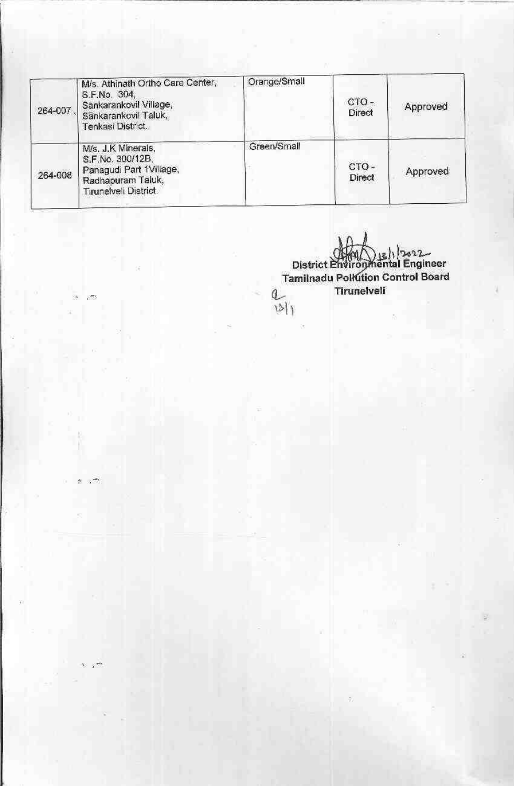| 264-007 | M/s. Athinath Ortho Care Center,<br>S.F.No. 304,<br>Sankarankovil Village,<br>Sänkarankovil Taluk,<br>Tenkasi District. | Orange/Small | CTO-<br>Direct | Approved |
|---------|-------------------------------------------------------------------------------------------------------------------------|--------------|----------------|----------|
| 264-008 | M/s. J.K Minerals,<br>S.F.No. 300/12B,<br>Panagudi Part 1Village,<br>Radhapuram Taluk,<br>Tirunelveli District.         | Green/Small  | сто-<br>Direct | Approved |

83 -877

极关

District Environmental Engineer<br>Tamilnadu Pollution Control Board<br>Tirunelveli  $\frac{a}{|s|}$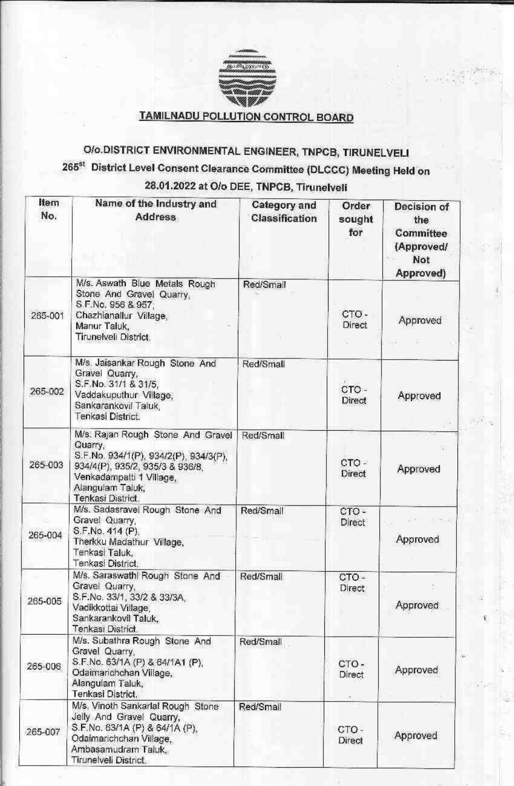

### TAMILNADU POLLUTION CONTROL BOARD

# O/o.DISTRICT ENVIRONMENTAL ENGINEER, TNPCB, TIRUNELVELI 265<sup>st</sup> District Level Consent Clearance Committee (DLCCC) Meeting Held on 28.01.2022 at O/o DEE, TNPCB, Tirunelveli

| Item<br>No. | Name of the Industry and<br><b>Address</b>                                                                                                                                                    | Category and<br><b>Classification</b> | Order<br>sought<br>for     | Decision of<br>the<br>Committee<br>(Approved/<br>Not<br>Approved) |
|-------------|-----------------------------------------------------------------------------------------------------------------------------------------------------------------------------------------------|---------------------------------------|----------------------------|-------------------------------------------------------------------|
| 265-001     | M/s. Aswath Blue Metals Rough<br>Stone And Gravel Quarry,<br>S.F.No. 956 & 957<br>Chazhianallur Village,<br>Manur Taluk,<br>Tirunelveli District.                                             | Red/Small                             | CTO-<br><b>Direct</b><br>o | Approved                                                          |
| 265-002     | M/s. Jaisankar Rough Stone And<br>Gravel Quarry,<br>S.F.No. 31/1 & 31/5,<br>Vaddakuputhur Village,<br>Sankarankovil Taluk,<br>Tenkasi District.                                               | Red/Small                             | CTO-<br>Direct             | Approved                                                          |
| 265-003     | M/s. Rajan Rough Stone And Gravel<br>Quarry,<br>S.F.No. 934/1(P), 934/2(P), 934/3(P),<br>934/4(P), 935/2, 935/3 & 936/8,<br>Venkadampatti 1 Village,<br>Alangulam Taluk,<br>Tenkasi District. | Red/Small                             | $CTO -$<br>Direct          | 歩<br>Approved                                                     |
| 265-004     | M/s. Sadasravel Rough Stone And<br>Gravel Quarry,<br>S.F.No. 414 (P).<br>Therkku Madathur Village,<br>Tenkasi Taluk,<br>Tenkasi District.                                                     | Red/Small                             | CTO-<br>Direct             | <b>CONTRACTOR</b><br>Approved                                     |
| 265-005     | M/s. Saraswathi Rough Stone And<br>Gravel Quarry,<br>S.F.No. 33/1, 33/2 & 33/3A.<br>Vadikkottai Village,<br>Sankarankovil Taluk,<br>Tenkasi District.                                         | Red/Small                             | $CTO -$<br>Direct          | Approved                                                          |
| 265-006     | M/s. Subathra Rough Stone And<br>Gravel Quarry,<br>S.F.No. 63/1A (P) & 64/1A1 (P),<br>Odaimarichchan Village.<br>Alangulam Taluk,<br>Tenkasi District.                                        | Red/Small                             | CTO-<br><b>Direct</b>      | Approved                                                          |
| 265-007     | M/s. Vinoth Sankarlal Rough Stone<br>Jelly And Gravel Quarry,<br>S.F.No. 63/1A (P) & 64/1A (P),<br>Odalmarichchan Village,<br>Ambasamudram Taluk,<br>Tirunelveli District.                    | Red/Small                             | CTO-<br>Direct             | Approved                                                          |